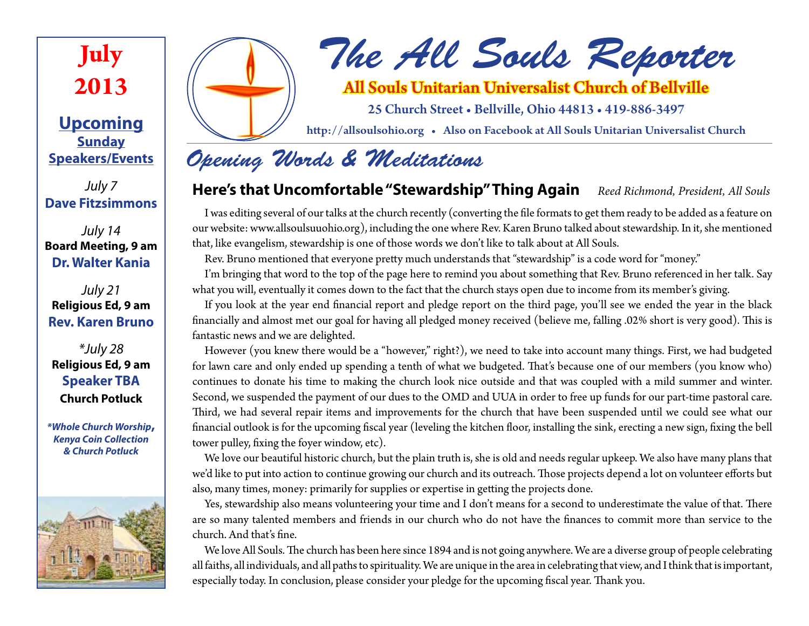

**Upcoming Sunday Speakers/Events**

*July 7* **Dave Fitzsimmons**

*July 14* **Board Meeting, 9 am Dr. Walter Kania**

*July 21* **Religious Ed, 9 am Rev. Karen Bruno**

*\*July 28* **Religious Ed, 9 am Speaker TBA Church Potluck**

*\*Whole Church Worship***,** *Kenya Coin Collection & Church Potluck*





*The All Souls Reporter*

All Souls Unitarian Universalist Church of Bellville

25 Church Street • Bellville, Ohio 44813 • 419-886-3497

http://allsoulsohio.org • Also on Facebook at All Souls Unitarian Universalist Church

# *Opening Words & Meditations*

### **Here's that Uncomfortable "Stewardship" Thing Again** *Reed Richmond, President, All Souls*

I was editing several of our talks at the church recently (converting the file formats to get them ready to be added as a feature on our website: www.allsoulsuuohio.org), including the one where Rev. Karen Bruno talked about stewardship. In it, she mentioned that, like evangelism, stewardship is one of those words we don't like to talk about at All Souls.

Rev. Bruno mentioned that everyone pretty much understands that "stewardship" is a code word for "money."

I'm bringing that word to the top of the page here to remind you about something that Rev. Bruno referenced in her talk. Say what you will, eventually it comes down to the fact that the church stays open due to income from its member's giving.

If you look at the year end financial report and pledge report on the third page, you'll see we ended the year in the black financially and almost met our goal for having all pledged money received (believe me, falling .02% short is very good). This is fantastic news and we are delighted.

However (you knew there would be a "however," right?), we need to take into account many things. First, we had budgeted for lawn care and only ended up spending a tenth of what we budgeted. That's because one of our members (you know who) continues to donate his time to making the church look nice outside and that was coupled with a mild summer and winter. Second, we suspended the payment of our dues to the OMD and UUA in order to free up funds for our part-time pastoral care. Third, we had several repair items and improvements for the church that have been suspended until we could see what our financial outlook is for the upcoming fiscal year (leveling the kitchen floor, installing the sink, erecting a new sign, fixing the bell tower pulley, fixing the foyer window, etc).

We love our beautiful historic church, but the plain truth is, she is old and needs regular upkeep. We also have many plans that we'd like to put into action to continue growing our church and its outreach. Those projects depend a lot on volunteer efforts but also, many times, money: primarily for supplies or expertise in getting the projects done.

Yes, stewardship also means volunteering your time and I don't means for a second to underestimate the value of that. There are so many talented members and friends in our church who do not have the finances to commit more than service to the church. And that's fine.

We love All Souls. The church has been here since 1894 and is not going anywhere. We are a diverse group of people celebrating all faiths, all individuals, and all paths to spirituality. We are unique in the area in celebrating that view, and I think that is important, especially today. In conclusion, please consider your pledge for the upcoming fiscal year. Thank you.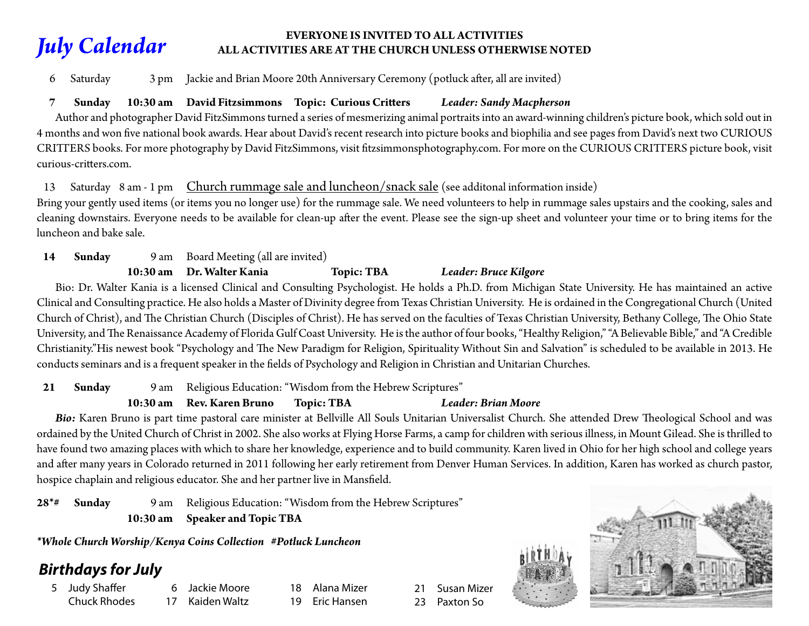#### *July Calendar* **EVERYONE IS INVITED TO ALL ACTIVITIES ALL ACTIVITIES ARE AT THE CHURCH UNLESS OTHERWISE NOTED**

6 Saturday 3 pm Jackie and Brian Moore 20th Anniversary Ceremony (potluck after, all are invited)

### **7 Sunday 10:30 am David Fitzsimmons Topic: Curious Critters** *Leader: Sandy Macpherson*

 Author and photographer David FitzSimmons turned a series of mesmerizing animal portraits into an award-winning children's picture book, which sold out in 4 months and won five national book awards. Hear about David's recent research into picture books and biophilia and see pages from David's next two CURIOUS CRITTERS books. For more photography by David FitzSimmons, visit fitzsimmonsphotography.com. For more on the CURIOUS CRITTERS picture book, visit curious-critters.com.

#### 13 Saturday 8 am - 1 pm Church rummage sale and luncheon/snack sale (see additonal information inside)

Bring your gently used items (or items you no longer use) for the rummage sale. We need volunteers to help in rummage sales upstairs and the cooking, sales and cleaning downstairs. Everyone needs to be available for clean-up after the event. Please see the sign-up sheet and volunteer your time or to bring items for the luncheon and bake sale.

**14 Sunday** 9 am Board Meeting (all are invited)

#### **10:30 am Dr. Walter Kania Topic: TBA** *Leader: Bruce Kilgore*

 Bio: Dr. Walter Kania is a licensed Clinical and Consulting Psychologist. He holds a Ph.D. from Michigan State University. He has maintained an active Clinical and Consulting practice. He also holds a Master of Divinity degree from Texas Christian University. He is ordained in the Congregational Church (United Church of Christ), and The Christian Church (Disciples of Christ). He has served on the faculties of Texas Christian University, Bethany College, The Ohio State University, and The Renaissance Academy of Florida Gulf Coast University. He is the author of four books, "Healthy Religion," "A Believable Bible," and "A Credible Christianity."His newest book "Psychology and The New Paradigm for Religion, Spirituality Without Sin and Salvation" is scheduled to be available in 2013. He conducts seminars and is a frequent speaker in the fields of Psychology and Religion in Christian and Unitarian Churches.

**21 Sunday** 9 am Religious Education: "Wisdom from the Hebrew Scriptures"

#### **10:30 am Rev. Karen Bruno Topic: TBA** *Leader: Brian Moore*

*Bio:* Karen Bruno is part time pastoral care minister at Bellville All Souls Unitarian Universalist Church. She attended Drew Theological School and was ordained by the United Church of Christ in 2002. She also works at Flying Horse Farms, a camp for children with serious illness, in Mount Gilead. She is thrilled to have found two amazing places with which to share her knowledge, experience and to build community. Karen lived in Ohio for her high school and college years and after many years in Colorado returned in 2011 following her early retirement from Denver Human Services. In addition, Karen has worked as church pastor, hospice chaplain and religious educator. She and her partner live in Mansfield.

**28\*# Sunday** 9 am Religious Education: "Wisdom from the Hebrew Scriptures"  **10:30 am Speaker and Topic TBA**

*\*Whole Church Worship/Kenya Coins Collection #Potluck Luncheon*

### *Birthdays for July*

5 Judy Shaffer Chuck Rhodes

6 Jackie Moore 17 Kaiden Waltz

18 Alana Mizer **Eric Hansen** 

21 Susan Mizer 23 Paxton So

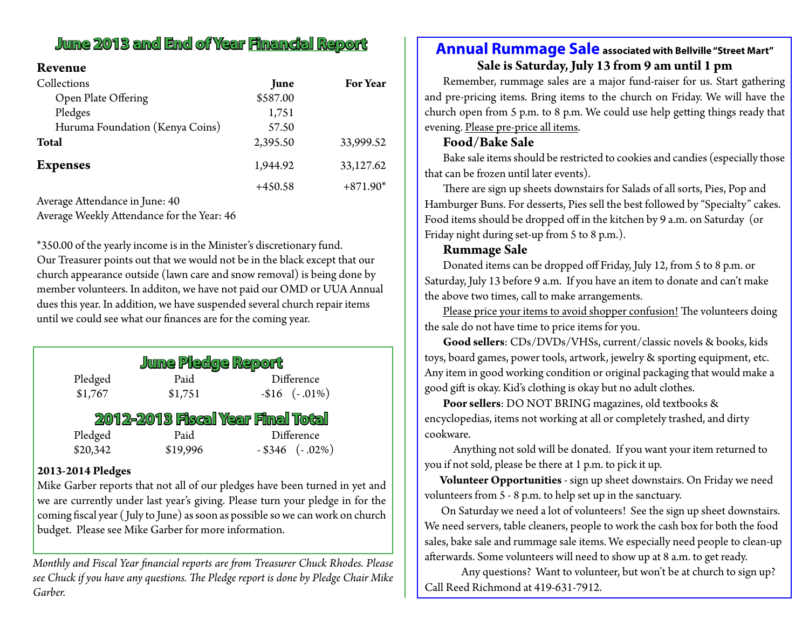## **June 2013 and End of Year Financial Report**

#### **Revenue**

| Collections                     | June     | <b>For Year</b> |
|---------------------------------|----------|-----------------|
| Open Plate Offering             | \$587.00 |                 |
| Pledges                         | 1,751    |                 |
| Huruma Foundation (Kenya Coins) | 57.50    |                 |
| <b>Total</b>                    | 2,395.50 | 33,999.52       |
| <b>Expenses</b>                 | 1,944.92 | 33,127.62       |
|                                 | +450.58  | $+871.90*$      |

Average Attendance in June: 40

Average Weekly Attendance for the Year: 46

\*350.00 of the yearly income is in the Minister's discretionary fund. Our Treasurer points out that we would not be in the black except that our church appearance outside (lawn care and snow removal) is being done by member volunteers. In additon, we have not paid our OMD or UUA Annual dues this year. In addition, we have suspended several church repair items until we could see what our finances are for the coming year.

| <b>June Pledge Report</b>         |         |                   |  |
|-----------------------------------|---------|-------------------|--|
| Pledged                           | Paid    | Difference        |  |
| \$1,767                           | \$1,751 | $-$16$ $(-.01\%)$ |  |
| 2012-2013 Fiscal Year Final Total |         |                   |  |
| Pledged                           | Paid    | Difference        |  |

 $$19,996$   $- $346$   $(-.02\%)$ 

#### **2013-2014 Pledges**

Mike Garber reports that not all of our pledges have been turned in yet and we are currently under last year's giving. Please turn your pledge in for the coming fiscal year ( July to June) as soon as possible so we can work on church budget. Please see Mike Garber for more information.

*Monthly and Fiscal Year financial reports are from Treasurer Chuck Rhodes. Please see Chuck if you have any questions. The Pledge report is done by Pledge Chair Mike Garber.*

### **Annual Rummage Sale associated with Bellville "Street Mart" Sale is Saturday, July 13 from 9 am until 1 pm**

Remember, rummage sales are a major fund-raiser for us. Start gathering and pre-pricing items. Bring items to the church on Friday. We will have the church open from 5 p.m. to 8 p.m. We could use help getting things ready that evening. Please pre-price all items.

#### **Food/Bake Sale**

Bake sale items should be restricted to cookies and candies (especially those that can be frozen until later events).

There are sign up sheets downstairs for Salads of all sorts, Pies, Pop and Hamburger Buns. For desserts, Pies sell the best followed by "Specialty" cakes. Food items should be dropped off in the kitchen by 9 a.m. on Saturday (or Friday night during set-up from 5 to 8 p.m.).

#### **Rummage Sale**

Donated items can be dropped off Friday, July 12, from 5 to 8 p.m. or Saturday, July 13 before 9 a.m. If you have an item to donate and can't make the above two times, call to make arrangements.

Please price your items to avoid shopper confusion! The volunteers doing the sale do not have time to price items for you.

**Good sellers**: CDs/DVDs/VHSs, current/classic novels & books, kids toys, board games, power tools, artwork, jewelry & sporting equipment, etc. Any item in good working condition or original packaging that would make a good gift is okay. Kid's clothing is okay but no adult clothes.

**Poor sellers**: DO NOT BRING magazines, old textbooks & encyclopedias, items not working at all or completely trashed, and dirty cookware.

Anything not sold will be donated. If you want your item returned to you if not sold, please be there at 1 p.m. to pick it up.

 **Volunteer Opportunities** - sign up sheet downstairs. On Friday we need volunteers from 5 - 8 p.m. to help set up in the sanctuary.

 On Saturday we need a lot of volunteers! See the sign up sheet downstairs. We need servers, table cleaners, people to work the cash box for both the food sales, bake sale and rummage sale items. We especially need people to clean-up afterwards. Some volunteers will need to show up at 8 a.m. to get ready.

Any questions? Want to volunteer, but won't be at church to sign up? Call Reed Richmond at 419-631-7912.